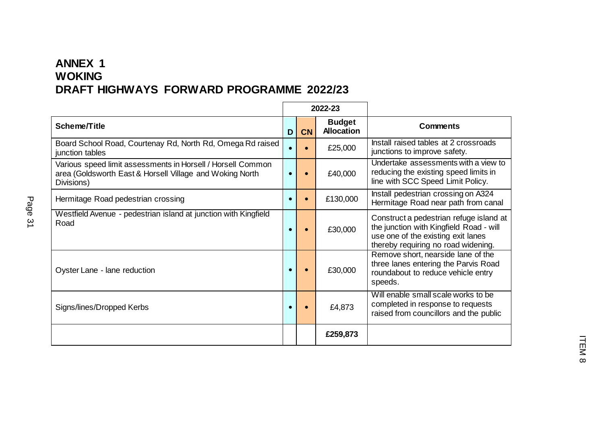## **ANNEX 1 WOKING DRAFT HIGHWAYS FORWARD PROGRAMME 2022/23**

|                                                                                                                                       |   |           | 2022-23                            |                                                                                                                                                                 |
|---------------------------------------------------------------------------------------------------------------------------------------|---|-----------|------------------------------------|-----------------------------------------------------------------------------------------------------------------------------------------------------------------|
| Scheme/Title                                                                                                                          | D | <b>CN</b> | <b>Budget</b><br><b>Allocation</b> | <b>Comments</b>                                                                                                                                                 |
| Board School Road, Courtenay Rd, North Rd, Omega Rd raised<br>junction tables                                                         |   |           | £25,000                            | Install raised tables at 2 crossroads<br>junctions to improve safety.                                                                                           |
| Various speed limit assessments in Horsell / Horsell Common<br>area (Goldsworth East & Horsell Village and Woking North<br>Divisions) |   |           | £40,000                            | Undertake assessments with a view to<br>reducing the existing speed limits in<br>line with SCC Speed Limit Policy.                                              |
| Hermitage Road pedestrian crossing                                                                                                    |   |           | £130,000                           | Install pedestrian crossing on A324<br>Hermitage Road near path from canal                                                                                      |
| Westfield Avenue - pedestrian island at junction with Kingfield<br>Road                                                               |   |           | £30,000                            | Construct a pedestrian refuge island at<br>the junction with Kingfield Road - will<br>use one of the existing exit lanes<br>thereby requiring no road widening. |
| Oyster Lane - lane reduction                                                                                                          |   |           | £30,000                            | Remove short, nearside lane of the<br>three lanes entering the Parvis Road<br>roundabout to reduce vehicle entry<br>speeds.                                     |
| Signs/lines/Dropped Kerbs                                                                                                             |   |           | £4,873                             | Will enable small scale works to be<br>completed in response to requests<br>raised from councillors and the public                                              |
|                                                                                                                                       |   |           | £259,873                           |                                                                                                                                                                 |